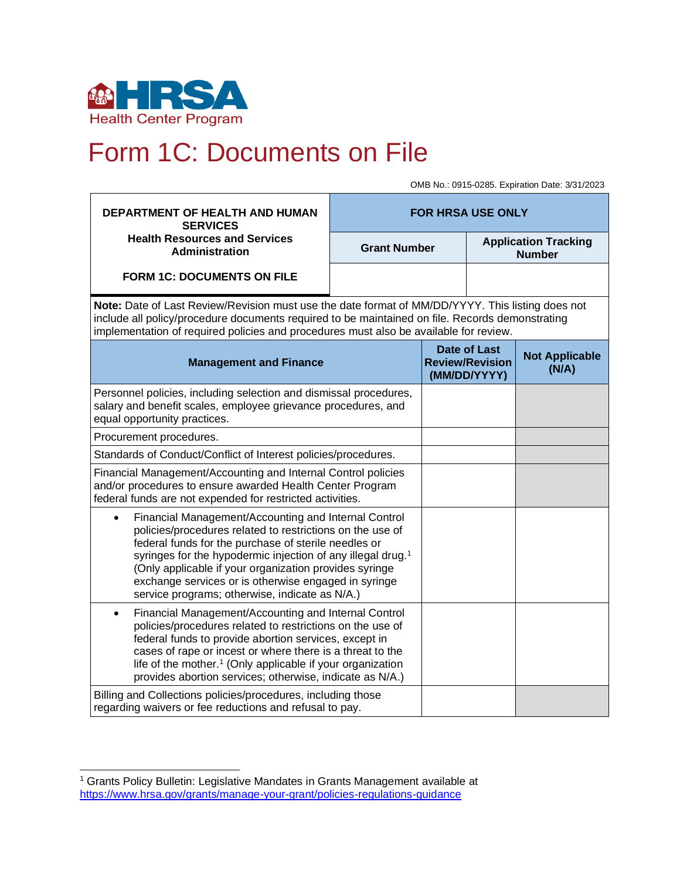

## Form 1C: Documents on File

<span id="page-0-0"></span>OMB No.: 0915-0285. Expiration Date: 3/31/2023

| DEPARTMENT OF HEALTH AND HUMAN<br><b>SERVICES</b>                                                                                                                                                                                                                                                                                                                                                                        | <b>FOR HRSA USE ONLY</b> |                                                               |                                              |                                |  |  |
|--------------------------------------------------------------------------------------------------------------------------------------------------------------------------------------------------------------------------------------------------------------------------------------------------------------------------------------------------------------------------------------------------------------------------|--------------------------|---------------------------------------------------------------|----------------------------------------------|--------------------------------|--|--|
| <b>Health Resources and Services</b><br>Administration                                                                                                                                                                                                                                                                                                                                                                   | <b>Grant Number</b>      |                                                               | <b>Application Tracking</b><br><b>Number</b> |                                |  |  |
| <b>FORM 1C: DOCUMENTS ON FILE</b>                                                                                                                                                                                                                                                                                                                                                                                        |                          |                                                               |                                              |                                |  |  |
| Note: Date of Last Review/Revision must use the date format of MM/DD/YYYY. This listing does not<br>include all policy/procedure documents required to be maintained on file. Records demonstrating<br>implementation of required policies and procedures must also be available for review.                                                                                                                             |                          |                                                               |                                              |                                |  |  |
| <b>Management and Finance</b>                                                                                                                                                                                                                                                                                                                                                                                            |                          | <b>Date of Last</b><br><b>Review/Revision</b><br>(MM/DD/YYYY) |                                              | <b>Not Applicable</b><br>(N/A) |  |  |
| Personnel policies, including selection and dismissal procedures,<br>salary and benefit scales, employee grievance procedures, and<br>equal opportunity practices.                                                                                                                                                                                                                                                       |                          |                                                               |                                              |                                |  |  |
| Procurement procedures.                                                                                                                                                                                                                                                                                                                                                                                                  |                          |                                                               |                                              |                                |  |  |
| Standards of Conduct/Conflict of Interest policies/procedures.                                                                                                                                                                                                                                                                                                                                                           |                          |                                                               |                                              |                                |  |  |
| Financial Management/Accounting and Internal Control policies<br>and/or procedures to ensure awarded Health Center Program<br>federal funds are not expended for restricted activities.                                                                                                                                                                                                                                  |                          |                                                               |                                              |                                |  |  |
| Financial Management/Accounting and Internal Control<br>policies/procedures related to restrictions on the use of<br>federal funds for the purchase of sterile needles or<br>syringes for the hypodermic injection of any illegal drug. <sup>1</sup><br>(Only applicable if your organization provides syringe<br>exchange services or is otherwise engaged in syringe<br>service programs; otherwise, indicate as N/A.) |                          |                                                               |                                              |                                |  |  |
| Financial Management/Accounting and Internal Control<br>$\bullet$<br>policies/procedures related to restrictions on the use of<br>federal funds to provide abortion services, except in<br>cases of rape or incest or where there is a threat to the<br>life of the mother. <sup>1</sup> (Only applicable if your organization<br>provides abortion services; otherwise, indicate as N/A.)                               |                          |                                                               |                                              |                                |  |  |
| Billing and Collections policies/procedures, including those<br>regarding waivers or fee reductions and refusal to pay.                                                                                                                                                                                                                                                                                                  |                          |                                                               |                                              |                                |  |  |

<sup>&</sup>lt;sup>1</sup> Grants Policy Bulletin: Legislative Mandates in Grants Management available at <https://www.hrsa.gov/grants/manage-your-grant/policies-regulations-guidance>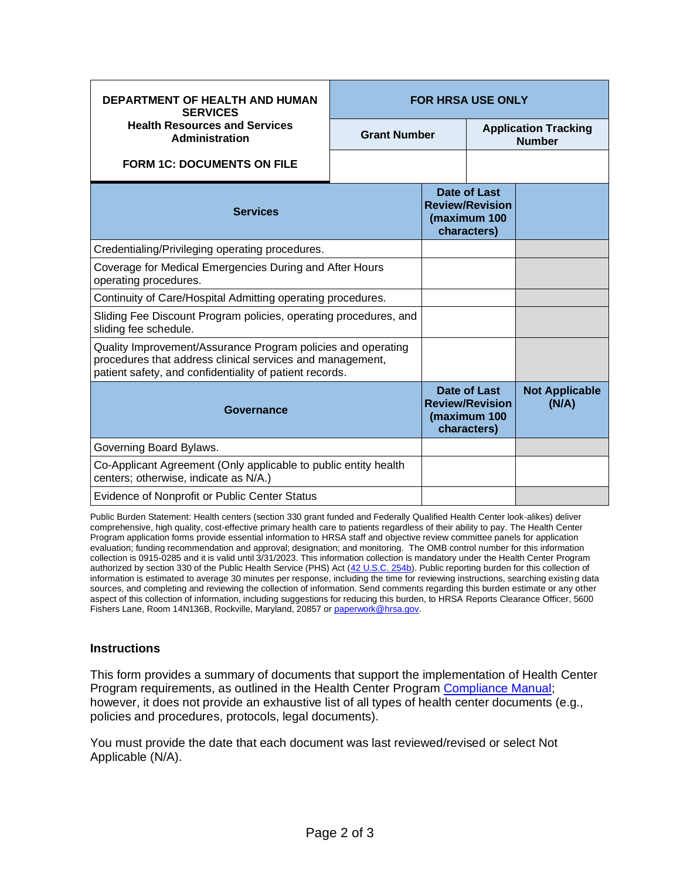| <b>DEPARTMENT OF HEALTH AND HUMAN</b><br><b>SERVICES</b><br><b>Health Resources and Services</b><br>Administration                                                                   | <b>FOR HRSA USE ONLY</b> |                                                                              |                                                                       |                                |
|--------------------------------------------------------------------------------------------------------------------------------------------------------------------------------------|--------------------------|------------------------------------------------------------------------------|-----------------------------------------------------------------------|--------------------------------|
|                                                                                                                                                                                      | <b>Grant Number</b>      |                                                                              | <b>Application Tracking</b><br><b>Number</b>                          |                                |
| <b>FORM 1C: DOCUMENTS ON FILE</b>                                                                                                                                                    |                          |                                                                              |                                                                       |                                |
| <b>Services</b>                                                                                                                                                                      |                          | <b>Date of Last</b><br><b>Review/Revision</b><br>(maximum 100<br>characters) |                                                                       |                                |
| Credentialing/Privileging operating procedures.                                                                                                                                      |                          |                                                                              |                                                                       |                                |
| Coverage for Medical Emergencies During and After Hours<br>operating procedures.                                                                                                     |                          |                                                                              |                                                                       |                                |
| Continuity of Care/Hospital Admitting operating procedures.                                                                                                                          |                          |                                                                              |                                                                       |                                |
| Sliding Fee Discount Program policies, operating procedures, and<br>sliding fee schedule.                                                                                            |                          |                                                                              |                                                                       |                                |
| Quality Improvement/Assurance Program policies and operating<br>procedures that address clinical services and management,<br>patient safety, and confidentiality of patient records. |                          |                                                                              |                                                                       |                                |
| Governance                                                                                                                                                                           |                          |                                                                              | Date of Last<br><b>Review/Revision</b><br>(maximum 100<br>characters) | <b>Not Applicable</b><br>(N/A) |
| Governing Board Bylaws.                                                                                                                                                              |                          |                                                                              |                                                                       |                                |
| Co-Applicant Agreement (Only applicable to public entity health<br>centers; otherwise, indicate as N/A.)                                                                             |                          |                                                                              |                                                                       |                                |
| Evidence of Nonprofit or Public Center Status                                                                                                                                        |                          |                                                                              |                                                                       |                                |

Public Burden Statement: Health centers (section 330 grant funded and Federally Qualified Health Center look-alikes) deliver comprehensive, high quality, cost-effective primary health care to patients regardless of their ability to pay. The Health Center Program application forms provide essential information to HRSA staff and objective review committee panels for application evaluation; funding recommendation and approval; designation; and monitoring. The OMB control number for this information collection is 0915-0285 and it is valid until 3/31/2023. This information collection is mandatory under the Health Center Program authorized by section 330 of the Public Health Service (PHS) Act [\(42 U.S.C. 254b\)](http://uscode.house.gov/view.xhtml?req=granuleid:USC-prelim-title42-section254b&num=0&edition=prelim). Public reporting burden for this collection of information is estimated to average 30 minutes per response, including the time for reviewing instructions, searching existing data sources, and completing and reviewing the collection of information. Send comments regarding this burden estimate or any other aspect of this collection of information, including suggestions for reducing this burden, to HRSA Reports Clearance Officer, 5600 Fishers Lane, Room 14N136B, Rockville, Maryland, 20857 or [paperwork@hrsa.gov.](mailto:paperwork@hrsa.gov)

## **Instructions**

This form provides a summary of documents that support the implementation of Health Center Program requirements, as outlined in the Health Center Program [Compliance Manual;](https://www.bphc.hrsa.gov/programrequirements/compliancemanual/introduction.html) however, it does not provide an exhaustive list of all types of health center documents (e.g., policies and procedures, protocols, legal documents).

You must provide the date that each document was last reviewed/revised or select Not Applicable (N/A).